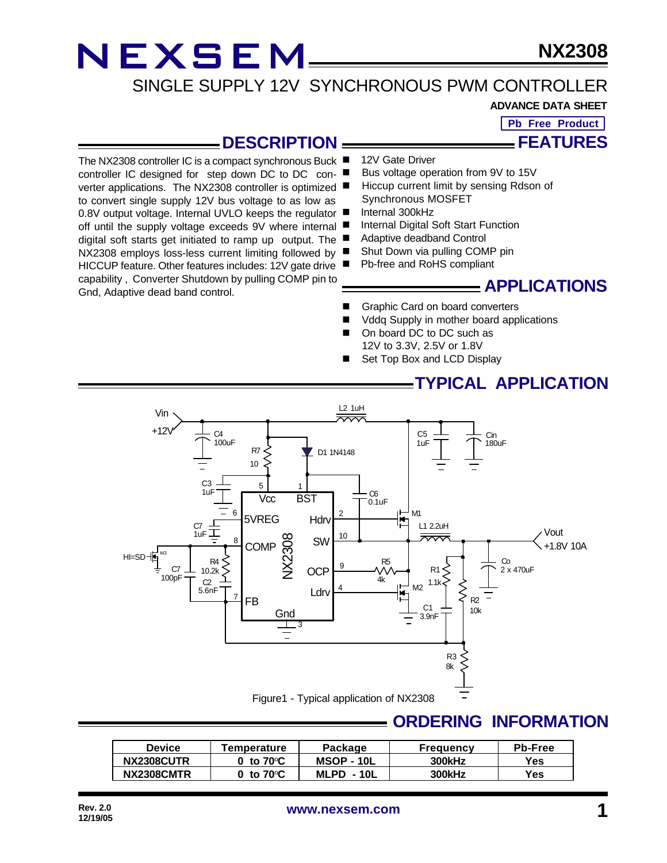### **NX2308**

### SINGLE SUPPLY 12V SYNCHRONOUS PWM CONTROLLER

#### **ADVANCE DATA SHEET**

**Pb Free Product**

### **FEATURES**

### **DESCRIPTION**

The NX2308 controller IC is a compact synchronous Buck ■ controller IC designed for step down DC to DC converter applications. The NX2308 controller is optimized to convert single supply 12V bus voltage to as low as 0.8V output voltage. Internal UVLO keeps the regulator ■ off until the supply voltage exceeds 9V where internal ■ digital soft starts get initiated to ramp up output. The NX2308 employs loss-less current limiting followed by HICCUP feature. Other features includes: 12V gate drive capability , Converter Shutdown by pulling COMP pin to Gnd, Adaptive dead band control.

- 12V Gate Driver
- Bus voltage operation from 9V to 15V
- Hiccup current limit by sensing Rdson of Synchronous MOSFET
- Internal 300kHz
- Internal Digital Soft Start Function
- Adaptive deadband Control
- Shut Down via pulling COMP pin
- **n** Pb-free and RoHS compliant

### **APPLICATIONS**

- Graphic Card on board converters
- Vddq Supply in mother board applications
- On board DC to DC such as 12V to 3.3V, 2.5V or 1.8V
- Set Top Box and LCD Display

### **TYPICAL APPLICATION**



### **ORDERING INFORMATION**

| Device     | Temperature                       | Package           | Freauencv | <b>Pb-Free</b> |
|------------|-----------------------------------|-------------------|-----------|----------------|
| NX2308CUTR | 0 <sub>to</sub> 70 <sup>°</sup> C | <b>MSOP - 10L</b> | 300kHz    | Yes.           |
| NX2308CMTR | 0 to 70 $\mathrm{C}$              | $MLPD - 10L$      | 300kHz    | Yes.           |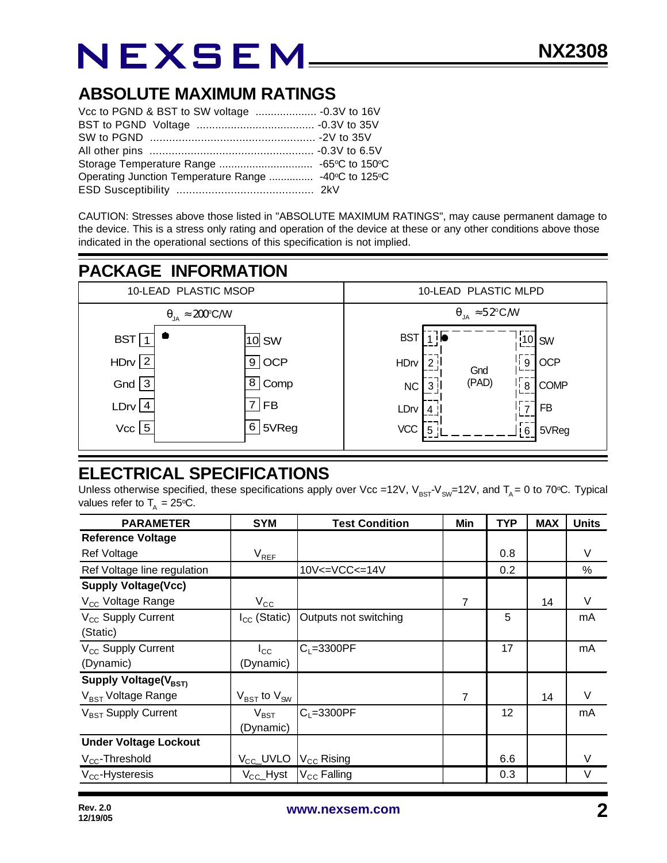### **ABSOLUTE MAXIMUM RATINGS**

| Operating Junction Temperature Range  -40°C to 125°C |  |
|------------------------------------------------------|--|
|                                                      |  |

CAUTION: Stresses above those listed in "ABSOLUTE MAXIMUM RATINGS", may cause permanent damage to the device. This is a stress only rating and operation of the device at these or any other conditions above those indicated in the operational sections of this specification is not implied.

### **PACKAGE INFORMATION**



### **ELECTRICAL SPECIFICATIONS**

Unless otherwise specified, these specifications apply over Vcc =12V,  $V_{BST}V_{SW}=12V$ , and  $T_A = 0$  to 70°C. Typical values refer to  $T_A = 25$ °C.

| <b>PARAMETER</b>                 | <b>SYM</b>                          | <b>Test Condition</b>  | Min | <b>TYP</b> | <b>MAX</b> | <b>Units</b> |
|----------------------------------|-------------------------------------|------------------------|-----|------------|------------|--------------|
| <b>Reference Voltage</b>         |                                     |                        |     |            |            |              |
| Ref Voltage                      | $V_{REF}$                           |                        |     | 0.8        |            | V            |
| Ref Voltage line regulation      |                                     | 10V<=VCC<=14V          |     | 0.2        |            | %            |
| <b>Supply Voltage(Vcc)</b>       |                                     |                        |     |            |            |              |
| V <sub>CC</sub> Voltage Range    | $V_{\rm CC}$                        |                        | 7   |            | 14         | V            |
| V <sub>CC</sub> Supply Current   | $I_{CC}$ (Static)                   | Outputs not switching  |     | 5          |            | mA           |
| (Static)                         |                                     |                        |     |            |            |              |
| V <sub>CC</sub> Supply Current   | $I_{\rm CC}$                        | $C_1 = 3300PF$         |     | 17         |            | mA           |
| (Dynamic)                        | (Dynamic)                           |                        |     |            |            |              |
| Supply Voltage(V <sub>BST)</sub> |                                     |                        |     |            |            |              |
| V <sub>BST</sub> Voltage Range   | $V_{\text{BST}}$ to $V_{\text{SW}}$ |                        | 7   |            | 14         | $\vee$       |
| V <sub>BST</sub> Supply Current  | $V_{\mathsf{BST}}$                  | $C_1 = 3300PF$         |     | 12         |            | mA           |
|                                  | (Dynamic)                           |                        |     |            |            |              |
| <b>Under Voltage Lockout</b>     |                                     |                        |     |            |            |              |
| $V_{CC}$ -Threshold              | V <sub>CC</sub> _UVLO               | $V_{\text{CC}}$ Rising |     | 6.6        |            |              |
| $V_{CC}$ -Hysteresis             | $V_{CC}$ Hyst                       | $V_{CC}$ Falling       |     | 0.3        |            | V            |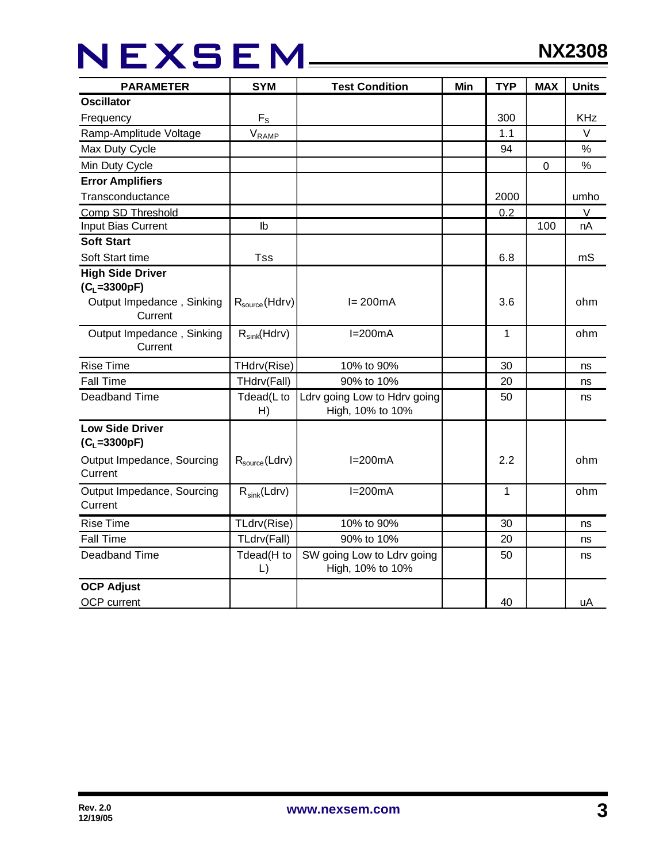## NEXSEM\_\_\_\_

| <b>PARAMETER</b>                              | <b>SYM</b>                 | <b>Test Condition</b>                            | Min | <b>TYP</b> | <b>MAX</b> | <b>Units</b> |
|-----------------------------------------------|----------------------------|--------------------------------------------------|-----|------------|------------|--------------|
| <b>Oscillator</b>                             |                            |                                                  |     |            |            |              |
| Frequency                                     | $F_S$                      |                                                  |     | 300        |            | <b>KHz</b>   |
| Ramp-Amplitude Voltage                        | $V_{\text{RAMP}}$          |                                                  |     | 1.1        |            | $\vee$       |
| Max Duty Cycle                                |                            |                                                  |     | 94         |            | $\%$         |
| Min Duty Cycle                                |                            |                                                  |     |            | $\pmb{0}$  | $\%$         |
| <b>Error Amplifiers</b>                       |                            |                                                  |     |            |            |              |
| Transconductance                              |                            |                                                  |     | 2000       |            | umho         |
| Comp SD Threshold                             |                            |                                                  |     | 0.2        |            | V            |
| Input Bias Current                            | $\mathsf{lb}$              |                                                  |     |            | 100        | nA           |
| <b>Soft Start</b>                             |                            |                                                  |     |            |            |              |
| Soft Start time                               | <b>Tss</b>                 |                                                  |     | 6.8        |            | mS           |
| <b>High Side Driver</b><br>$(C_{L} = 3300pF)$ |                            |                                                  |     |            |            |              |
| Output Impedance, Sinking<br>Current          | $R_{source}$ (Hdrv)        | $I = 200mA$                                      |     | 3.6        |            | ohm          |
| Output Impedance, Sinking<br>Current          | $R_{sink}(Hdrv)$           | $I=200mA$                                        |     | 1          |            | ohm          |
| <b>Rise Time</b>                              | THdrv(Rise)                | 10% to 90%                                       |     | 30         |            | ns           |
| <b>Fall Time</b>                              | THdrv(Fall)                | 90% to 10%                                       |     | 20         |            | ns           |
| Deadband Time                                 | Tdead(L to<br>H)           | Ldrv going Low to Hdrv going<br>High, 10% to 10% |     | 50         |            | ns           |
| <b>Low Side Driver</b><br>$(C_L = 3300pF)$    |                            |                                                  |     |            |            |              |
| Output Impedance, Sourcing<br>Current         | $R_{source}$ (Ldrv)        | $I=200mA$                                        |     | 2.2        |            | ohm          |
| Output Impedance, Sourcing<br>Current         | $R_{sink}(Ldrv)$           | $I=200mA$                                        |     | 1          |            | ohm          |
| <b>Rise Time</b>                              | TLdrv(Rise)                | 10% to 90%                                       |     | 30         |            | ns           |
| <b>Fall Time</b>                              | TLdrv(Fall)                | 90% to 10%                                       |     | 20         |            | ns           |
| Deadband Time                                 | Tdead(H to<br>$\mathsf{L}$ | SW going Low to Ldrv going<br>High, 10% to 10%   |     | 50         |            | ns           |
| <b>OCP Adjust</b><br>OCP current              |                            |                                                  |     | 40         |            | uA           |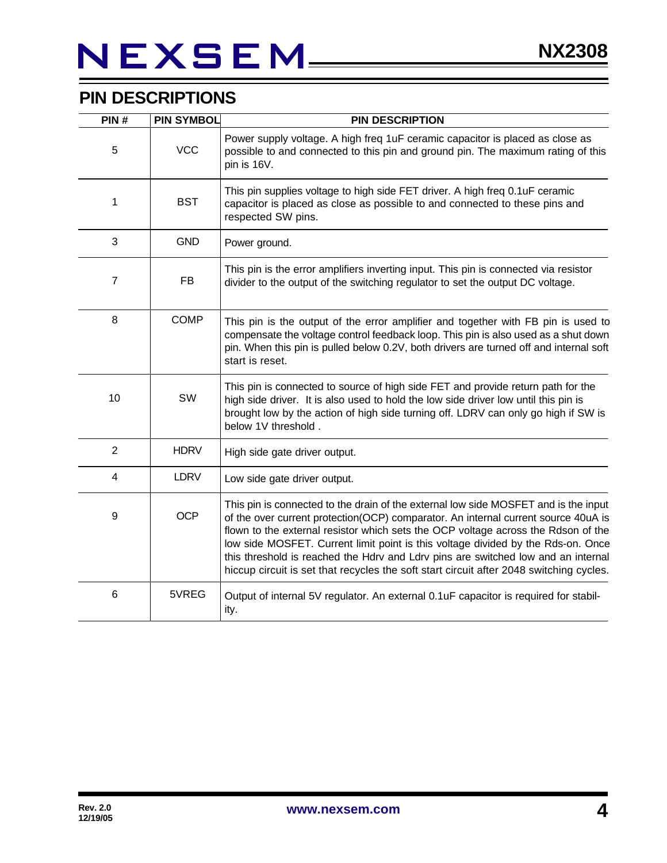## NEXSEM\_\_\_\_\_

### **PIN DESCRIPTIONS**

| PIN#             | <b>PIN SYMBOL</b> | <b>PIN DESCRIPTION</b>                                                                                                                                                                                                                                                                                                                                                                                                                                                                                                             |
|------------------|-------------------|------------------------------------------------------------------------------------------------------------------------------------------------------------------------------------------------------------------------------------------------------------------------------------------------------------------------------------------------------------------------------------------------------------------------------------------------------------------------------------------------------------------------------------|
| 5                | <b>VCC</b>        | Power supply voltage. A high freq 1uF ceramic capacitor is placed as close as<br>possible to and connected to this pin and ground pin. The maximum rating of this<br>pin is 16V.                                                                                                                                                                                                                                                                                                                                                   |
| 1                | <b>BST</b>        | This pin supplies voltage to high side FET driver. A high freq 0.1uF ceramic<br>capacitor is placed as close as possible to and connected to these pins and<br>respected SW pins.                                                                                                                                                                                                                                                                                                                                                  |
| $\sqrt{3}$       | <b>GND</b>        | Power ground.                                                                                                                                                                                                                                                                                                                                                                                                                                                                                                                      |
| $\overline{7}$   | <b>FB</b>         | This pin is the error amplifiers inverting input. This pin is connected via resistor<br>divider to the output of the switching regulator to set the output DC voltage.                                                                                                                                                                                                                                                                                                                                                             |
| 8                | <b>COMP</b>       | This pin is the output of the error amplifier and together with FB pin is used to<br>compensate the voltage control feedback loop. This pin is also used as a shut down<br>pin. When this pin is pulled below 0.2V, both drivers are turned off and internal soft<br>start is reset.                                                                                                                                                                                                                                               |
| 10               | SW                | This pin is connected to source of high side FET and provide return path for the<br>high side driver. It is also used to hold the low side driver low until this pin is<br>brought low by the action of high side turning off. LDRV can only go high if SW is<br>below 1V threshold.                                                                                                                                                                                                                                               |
| $\overline{2}$   | <b>HDRV</b>       | High side gate driver output.                                                                                                                                                                                                                                                                                                                                                                                                                                                                                                      |
| $\overline{4}$   | <b>LDRV</b>       | Low side gate driver output.                                                                                                                                                                                                                                                                                                                                                                                                                                                                                                       |
| $\boldsymbol{9}$ | <b>OCP</b>        | This pin is connected to the drain of the external low side MOSFET and is the input<br>of the over current protection(OCP) comparator. An internal current source 40uA is<br>flown to the external resistor which sets the OCP voltage across the Rdson of the<br>low side MOSFET. Current limit point is this voltage divided by the Rds-on. Once<br>this threshold is reached the Hdrv and Ldrv pins are switched low and an internal<br>hiccup circuit is set that recycles the soft start circuit after 2048 switching cycles. |
| $\,6$            | 5VREG             | Output of internal 5V regulator. An external 0.1uF capacitor is required for stabil-<br>ity.                                                                                                                                                                                                                                                                                                                                                                                                                                       |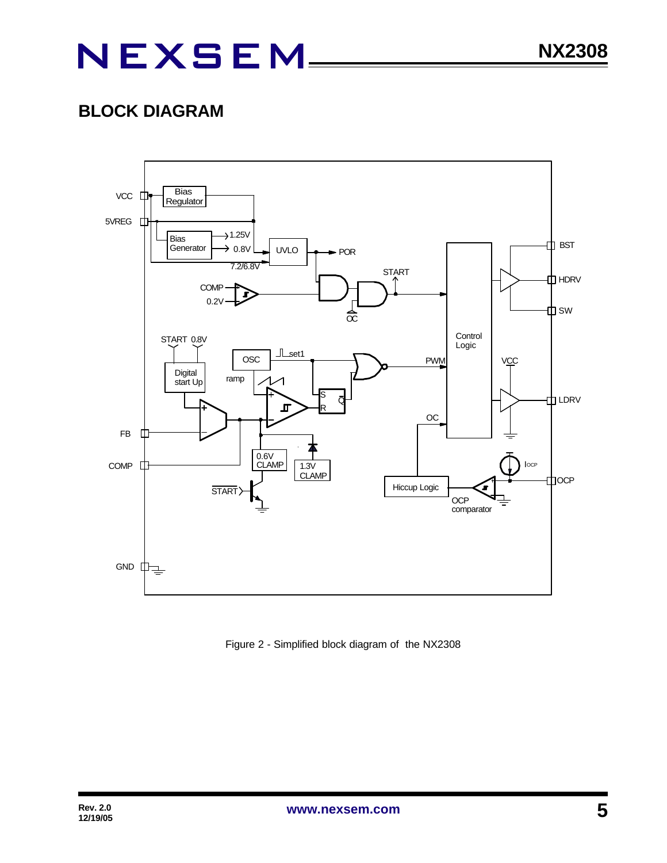### **BLOCK DIAGRAM**



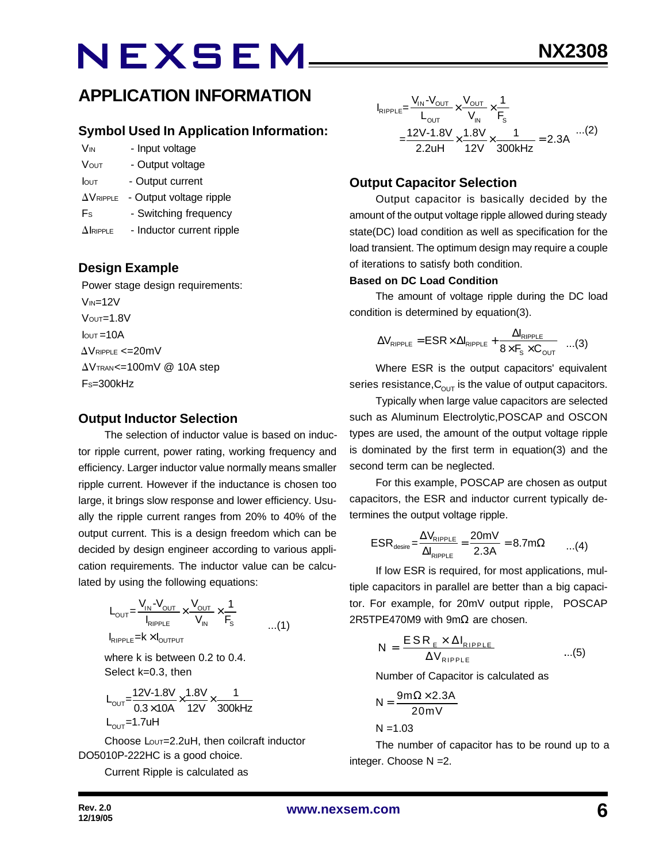#### **Symbol Used In Application Information:**

- V<sub>IN</sub> Input voltage
- VOUT Output voltage
- Iout Output current
- $\Delta V_{\text{RIPPLE}}$  Output voltage ripple
- Fs Switching frequency
- $\Delta$ IRIPPLE Inductor current ripple

### **Design Example**

 Power stage design requirements:  $V_{IN}=12V$  $V$ OUT= $1.8V$  $I<sub>QUT</sub> = 10A$  $\Delta$ VRIPPLE <=20mV  $\Delta V$ TRAN<=100mV @ 10A step  $Fs = 300kHz$ 

#### **Output Inductor Selection**

The selection of inductor value is based on inductor ripple current, power rating, working frequency and efficiency. Larger inductor value normally means smaller ripple current. However if the inductance is chosen too large, it brings slow response and lower efficiency. Usually the ripple current ranges from 20% to 40% of the output current. This is a design freedom which can be decided by design engineer according to various application requirements. The inductor value can be calculated by using the following equations:

$$
L_{\text{OUT}} = \frac{V_{\text{IN}} - V_{\text{OUT}}}{I_{\text{RIPPLE}}} \times \frac{V_{\text{OUT}}}{V_{\text{IN}}} \times \frac{1}{F_{\text{s}}} \tag{1}
$$

 $I_{RIPPLE}$  =  $k \times I_{OUTPUT}$ 

where k is between 0.2 to 0.4. Select k=0.3, then

$$
L_{\text{OUT}} = \frac{12V - 1.8V}{0.3 \times 10A} \times \frac{1.8V}{12V} \times \frac{1}{300kHz}
$$
  
L\_{\text{OUT}} = 1.7uH

Choose Lout=2.2uH, then coilcraft inductor DO5010P-222HC is a good choice.

Current Ripple is calculated as

$$
I_{RIPPLE} = \frac{V_{IN} - V_{OUT}}{L_{OUT}} \times \frac{V_{OUT}}{V_{IN}} \times \frac{1}{F_s}
$$
  
= 
$$
\frac{12V - 1.8V}{2.2uH} \times \frac{1.8V}{12V} \times \frac{1}{300kHz} = 2.3A
$$
...(2)

#### **Output Capacitor Selection**

Output capacitor is basically decided by the amount of the output voltage ripple allowed during steady state(DC) load condition as well as specification for the load transient. The optimum design may require a couple of iterations to satisfy both condition.

#### **Based on DC Load Condition**

The amount of voltage ripple during the DC load condition is determined by equation(3).

$$
\Delta V_{\text{RIPPLE}} = \text{ESR} \times \Delta I_{\text{RIPPLE}} + \frac{\Delta I_{\text{RIPPLE}}}{8 \times F_{\text{s}} \times C_{\text{OUT}}} \quad ...(3)
$$

Where ESR is the output capacitors' equivalent series resistance,  $C_{\text{OUT}}$  is the value of output capacitors.

Typically when large value capacitors are selected such as Aluminum Electrolytic,POSCAP and OSCON types are used, the amount of the output voltage ripple is dominated by the first term in equation(3) and the second term can be neglected.

For this example, POSCAP are chosen as output capacitors, the ESR and inductor current typically determines the output voltage ripple.

$$
ESR_{\text{desire}} = \frac{\Delta V_{\text{RIPPLE}}}{\Delta I_{\text{RIPPLE}}} = \frac{20 \text{mV}}{2.3 \text{A}} = 8.7 \text{m}\Omega \qquad ...(4)
$$

If low ESR is required, for most applications, multiple capacitors in parallel are better than a big capacitor. For example, for 20mV output ripple, POSCAP 2R5TPE470M9 with 9m $\Omega$  are chosen.

$$
N = \frac{ESR_{E} \times \Delta I_{RIPPLE}}{\Delta V_{RIPPLE}} \qquad ...(5)
$$

Number of Capacitor is calculated as

$$
N = \frac{9m\Omega \times 2.3A}{20mV}
$$

 $N = 1.03$ 

The number of capacitor has to be round up to a integer. Choose N =2.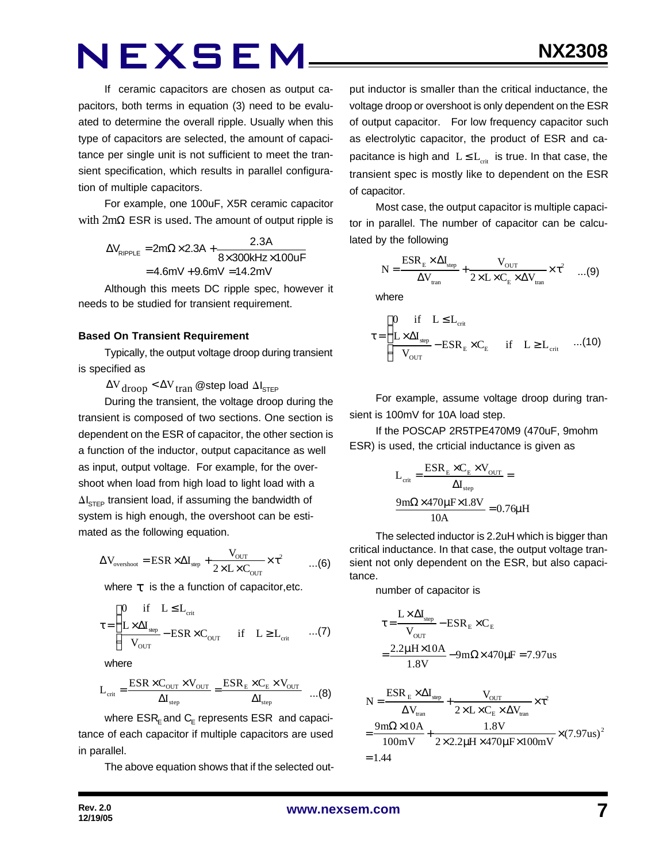If ceramic capacitors are chosen as output capacitors, both terms in equation (3) need to be evaluated to determine the overall ripple. Usually when this type of capacitors are selected, the amount of capacitance per single unit is not sufficient to meet the transient specification, which results in parallel configuration of multiple capacitors.

For example, one 100uF, X5R ceramic capacitor with 2mΩ ESR is used. The amount of output ripple is

$$
\Delta V_{\text{RIPPLE}} = 2m\Omega \times 2.3A + \frac{2.3A}{8 \times 300 \text{kHz} \times 100 \text{UF}}
$$

$$
= 4.6mV + 9.6mV = 14.2mV
$$

Although this meets DC ripple spec, however it needs to be studied for transient requirement.

#### **Based On Transient Requirement**

Typically, the output voltage droop during transient is specified as

 $\Delta V_{\rm drop} < \Delta V_{\rm tran}$  @step load  $\Delta I_{\rm STEP}$ 

During the transient, the voltage droop during the transient is composed of two sections. One section is dependent on the ESR of capacitor, the other section is a function of the inductor, output capacitance as well as input, output voltage. For example, for the overshoot when load from high load to light load with a  $\Delta I_{\text{STEP}}$  transient load, if assuming the bandwidth of system is high enough, the overshoot can be estimated as the following equation.

$$
\Delta V_{\text{overshoot}} = \text{ESR} \times \Delta I_{\text{step}} + \frac{V_{\text{OUT}}}{2 \times L \times C_{\text{OUT}}} \times \tau^2 \qquad ...(6)
$$

where *t* is the a function of capacitor,etc.

$$
\tau = \begin{cases}\n0 & \text{if} \quad L \le L_{\text{crit}} \\
\frac{L \times \Delta I_{\text{sep}}}{V_{\text{OUT}}} - \text{ESR} \times C_{\text{OUT}} & \text{if} \quad L \ge L_{\text{crit}} \quad \dots (7)\n\end{cases}
$$

where

$$
L_{\text{crit}} = \frac{\text{ESR} \times C_{\text{OUT}} \times V_{\text{OUT}}}{\Delta I_{\text{step}}} = \frac{\text{ESR}_{\text{E}} \times C_{\text{E}} \times V_{\text{OUT}}}{\Delta I_{\text{step}}} \quad ...(8)
$$

where  $\mathsf{ESR}_\mathsf{E}$  and  $\mathsf{C}_\mathsf{E}$  represents  $\mathsf{ESR}\;$  and capacitance of each capacitor if multiple capacitors are used in parallel.

The above equation shows that if the selected out-

put inductor is smaller than the critical inductance, the voltage droop or overshoot is only dependent on the ESR of output capacitor. For low frequency capacitor such as electrolytic capacitor, the product of ESR and capacitance is high and  $L \le L_{crit}$  is true. In that case, the transient spec is mostly like to dependent on the ESR of capacitor.

Most case, the output capacitor is multiple capacitor in parallel. The number of capacitor can be calculated by the following

$$
N = \frac{ESR_{E} \times \Delta I_{step}}{\Delta V_{tran}} + \frac{V_{OUT}}{2 \times L \times C_{E} \times \Delta V_{tran}} \times \tau^{2} \quad ...(9)
$$

where

$$
\tau\!=\!\begin{cases} 0 \quad \text{if} \quad L\!\leq\! L_{\text{crit}} \\ \frac{L\!\times\!\Delta I_{\text{sep}}}{V_{\text{OUT}}}\!-\!ESR_{_{\text{E}}}\!\times\!C_{_{\text{E}}}\quad \text{if} \quad L\!\geq\! L_{\text{crit}}\quad ... \text{(10)} \end{cases}
$$

For example, assume voltage droop during transient is 100mV for 10A load step.

If the POSCAP 2R5TPE470M9 (470uF, 9mohm ESR) is used, the crticial inductance is given as

$$
L_{\text{crit}} = \frac{ESR_{\text{E}} \times C_{\text{E}} \times V_{\text{OUT}}}{\Delta I_{\text{step}}} =
$$

$$
\frac{9 \text{m}\Omega \times 470 \mu \text{F} \times 1.8 \text{V}}{10 \text{A}} = 0.76 \mu \text{H}
$$

The selected inductor is 2.2uH which is bigger than critical inductance. In that case, the output voltage transient not only dependent on the ESR, but also capacitance.

number of capacitor is

$$
\tau = \frac{L \times \Delta I_{\text{step}}}{V_{\text{OUT}}} - ESR_E \times C_E
$$

$$
= \frac{2.2 \mu H \times 10A}{1.8 V} - 9 m\Omega \times 470 \mu F = 7.97 us
$$

$$
N = \frac{ESR_E \times \Delta I_{\text{step}}}{\Delta V_{\text{tran}}} + \frac{V_{\text{OUT}}}{2 \times L \times C_E \times \Delta V_{\text{tran}}} \times \tau^2
$$
  
= 
$$
\frac{9 \text{m}\Omega \times 10 \text{A}}{100 \text{mV}} + \frac{1.8 \text{V}}{2 \times 2.2 \mu \text{H} \times 470 \mu \text{F} \times 100 \text{mV}} \times (7.97 \text{us})^2
$$
  
= 1.44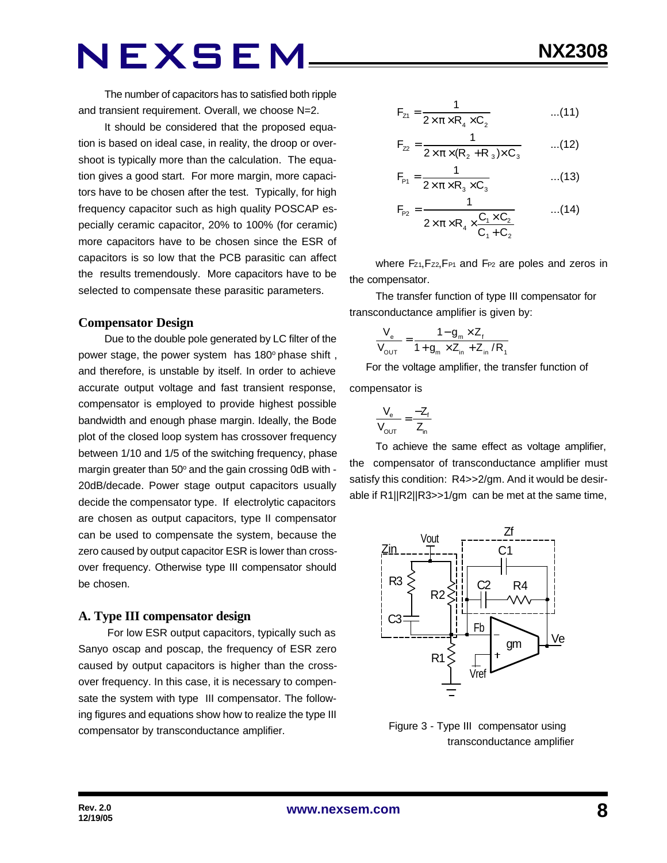The number of capacitors has to satisfied both ripple and transient requirement. Overall, we choose N=2.

It should be considered that the proposed equation is based on ideal case, in reality, the droop or overshoot is typically more than the calculation. The equation gives a good start. For more margin, more capacitors have to be chosen after the test. Typically, for high frequency capacitor such as high quality POSCAP especially ceramic capacitor, 20% to 100% (for ceramic) more capacitors have to be chosen since the ESR of capacitors is so low that the PCB parasitic can affect the results tremendously. More capacitors have to be selected to compensate these parasitic parameters.

#### **Compensator Design**

Due to the double pole generated by LC filter of the power stage, the power system has 180° phase shift, and therefore, is unstable by itself. In order to achieve accurate output voltage and fast transient response, compensator is employed to provide highest possible bandwidth and enough phase margin. Ideally, the Bode plot of the closed loop system has crossover frequency between 1/10 and 1/5 of the switching frequency, phase margin greater than 50° and the gain crossing 0dB with -20dB/decade. Power stage output capacitors usually decide the compensator type. If electrolytic capacitors are chosen as output capacitors, type II compensator can be used to compensate the system, because the zero caused by output capacitor ESR is lower than crossover frequency. Otherwise type III compensator should be chosen.

#### **A. Type III compensator design**

 For low ESR output capacitors, typically such as Sanyo oscap and poscap, the frequency of ESR zero caused by output capacitors is higher than the crossover frequency. In this case, it is necessary to compensate the system with type III compensator. The following figures and equations show how to realize the type III compensator by transconductance amplifier.

$$
F_{z1} = \frac{1}{2 \times \pi \times R_4 \times C_2}
$$
...(11)

$$
F_{22} = \frac{1}{2 \times \pi \times (R_2 + R_3) \times C_3}
$$
...(12)

$$
F_{p_1} = \frac{1}{2 \times \pi \times R_3 \times C_3}
$$
...(13)

$$
F_{P2} = \frac{1}{2 \times \pi \times R_4 \times \frac{C_1 \times C_2}{C_1 + C_2}} \qquad ...(14)
$$

where Fz1, Fz2, F<sub>P1</sub> and F<sub>P2</sub> are poles and zeros in the compensator.

The transfer function of type III compensator for transconductance amplifier is given by:

$$
\frac{V_{e}}{V_{\text{OUT}}} = \frac{1 - g_{m} \times Z_{f}}{1 + g_{m} \times Z_{in} + Z_{in} / R_{f}}
$$

 For the voltage amplifier, the transfer function of compensator is

$$
\frac{V_e}{V_{OUT}} = \frac{-Z_f}{Z_{in}}
$$

To achieve the same effect as voltage amplifier, the compensator of transconductance amplifier must satisfy this condition: R4>>2/gm. And it would be desirable if R1||R2||R3>>1/gm can be met at the same time,



 Figure 3 - Type III compensator using transconductance amplifier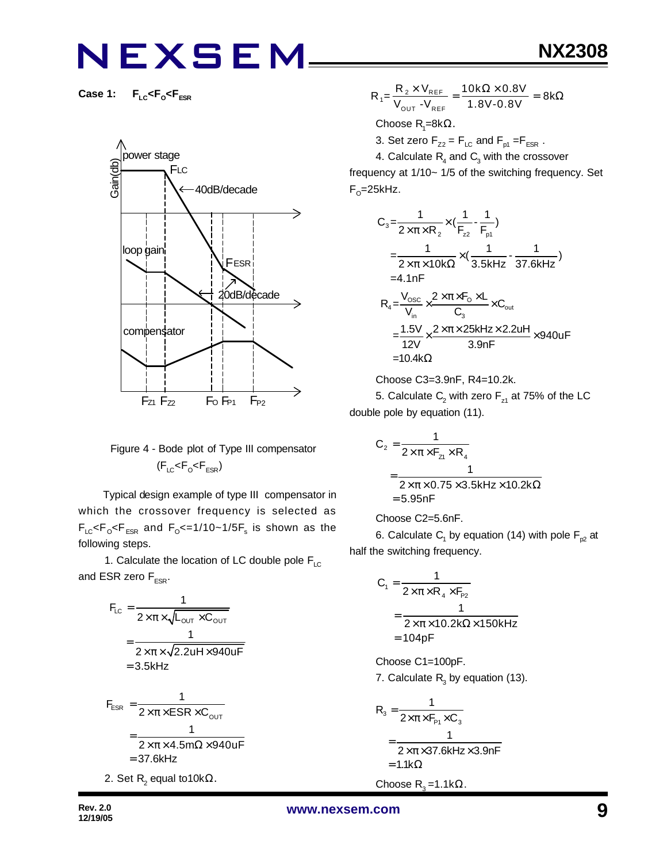**Case 1: FLC<F<sup>O</sup> <FESR**



### Figure 4 - Bode plot of Type III compensator  $(F_{LC}$ < $F_{O}$ < $F_{ESR}$ )

 Typical design example of type III compensator in which the crossover frequency is selected as  $\mathsf{F}_{\text{\tiny{LC}}}$ < $\mathsf{F}_{\text{\tiny{OSR}}}$  and  $\mathsf{F}_{\text{\tiny{O}}}$ <=1/10~1/5 $\mathsf{F}_{\text{\tiny{s}}}$  is shown as the following steps.

1. Calculate the location of LC double pole  $F_{LC}$ and ESR zero  $F_{FSR}$ .

$$
F_{LC} = \frac{1}{2 \times \pi \times \sqrt{L_{OUT} \times C_{OUT}}}
$$

$$
= \frac{1}{2 \times \pi \times \sqrt{2.2uH \times 940uF}}
$$

$$
= 3.5kHz
$$

$$
F_{ESR} = \frac{1}{2 \times \pi \times ESR \times C_{OUT}}
$$
  
= 
$$
\frac{1}{2 \times \pi \times 4.5m\Omega \times 940 \text{UF}}
$$
  
= 37.6kHz  
2. Set R<sub>2</sub> equal to 10kΩ.

$$
R_1 = \frac{R_2 \times V_{REF}}{V_{OUT} - V_{REF}} = \frac{10k\Omega \times 0.8V}{1.8V - 0.8V} = 8k\Omega
$$

Choose  $\mathsf{R}_{\scriptscriptstyle{1}}$ =8kΩ.

3. Set zero  $F_{Z2} = F_{LC}$  and  $F_{p1} = F_{ESR}$ .

4. Calculate  $\mathsf{R}_{\!{}_4}$  and  $\mathsf{C}_{\!{}_3}$  with the crossover frequency at 1/10~ 1/5 of the switching frequency. Set F<sub>o</sub>=25kHz.

$$
C_3 = \frac{1}{2 \times \pi \times R_2} \times (\frac{1}{F_{z2}} - \frac{1}{F_{p1}})
$$
  
\n
$$
= \frac{1}{2 \times \pi \times 10k\Omega} \times (\frac{1}{3.5kHz} - \frac{1}{37.6kHz})
$$
  
\n=4.1nF  
\n
$$
R_4 = \frac{V_{osc}}{V_{in}} \times \frac{2 \times \pi \times F_0 \times L}{C_3} \times C_{out}
$$
  
\n
$$
= \frac{1.5V}{12V} \times \frac{2 \times \pi \times 25kHz \times 2.2uH}{3.9nF} \times 940uF
$$
  
\n=10.4kΩ

Choose C3=3.9nF, R4=10.2k.

5. Calculate  $\mathsf{C}_2$  with zero  $\mathsf{F}_{\mathsf{z}1}$  at 75% of the LC double pole by equation (11).

$$
C_2 = \frac{1}{2 \times \pi \times F_{z1} \times R_4}
$$
  
= 
$$
\frac{1}{2 \times \pi \times 0.75 \times 3.5 \text{kHz} \times 10.2 \text{k}\Omega}
$$
  
= 5.95nF

Choose C2=5.6nF.

6. Calculate  $\mathsf{C}_\mathsf{1}$  by equation (14) with pole  $\mathsf{F}_{\mathsf{p2}}$  at half the switching frequency.

$$
C_1 = \frac{1}{2 \times \pi \times R_4 \times F_{p_2}}
$$
  
= 
$$
\frac{1}{2 \times \pi \times 10.2 k\Omega \times 150 kHz}
$$
  
= 104pF

Choose C1=100pF. 7. Calculate  $R_3$  by equation (13).

$$
R_3 = \frac{1}{2 \times \pi \times F_{P1} \times C_3}
$$
  
= 
$$
\frac{1}{2 \times \pi \times 37.6 \text{kHz} \times 3.9 \text{nF}}
$$
  
= 1.1k $\Omega$ 

Choose  $R_3 = 1.1kΩ$ .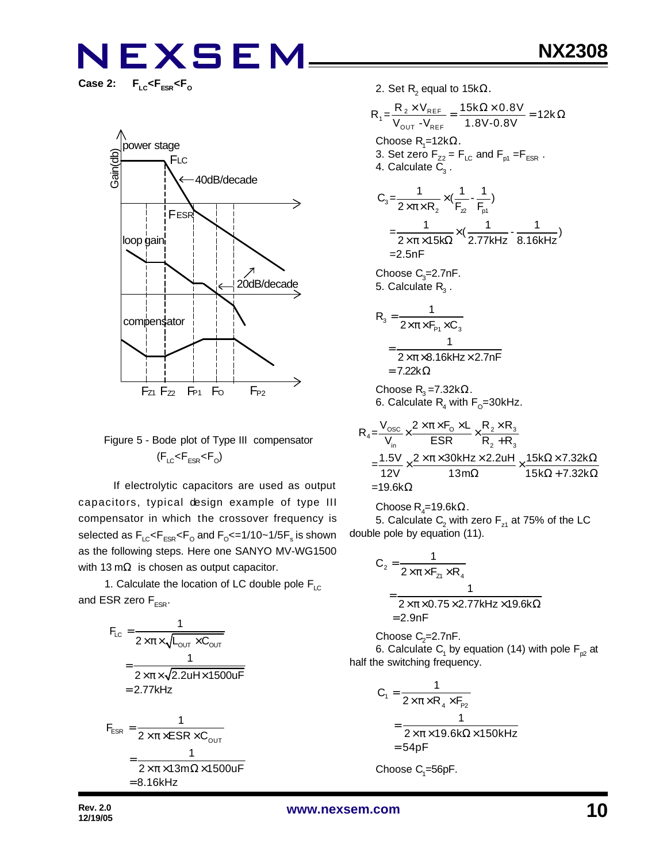$F_{LC}$ < $F_{ESR}$ < $F_{O}$ 



### Figure 5 - Bode plot of Type III compensator  $(F_{LC}$ < $F_{ESR}$ < $F_{O}$ )

 If electrolytic capacitors are used as output capacitors, typical design example of type III compensator in which the crossover frequency is selected as  $\mathsf{F}_{\text{\tiny{LC}}} \!\!\mathopen{\leq} \!\mathsf{F}_{\text{\tiny{ESR}}} \!\!\mathopen{\leq} \!\mathsf{F}_{\text{\tiny{O}}}$  and  $\mathsf{F}_{\text{\tiny{O}}} \!\!\mathopen{\leq} \!=\! 1/10 \!\!\mathclose{\sim} \!1/\!5 \mathsf{F}_{\text{\tiny{S}}}$  is shown as the following steps. Here one SANYO MV-WG1500 with 13 m $\Omega$  is chosen as output capacitor.

1. Calculate the location of LC double pole  $F_{LC}$ and ESR zero  $F_{FSR}$ .

$$
F_{LC} = \frac{1}{2 \times \pi \times \sqrt{L_{OUT} \times C_{OUT}}}
$$
\n
$$
= \frac{1}{2 \times \pi \times \sqrt{2.2uH \times 1500uF}}
$$
\n
$$
= 2.77kHz
$$
\n
$$
F_{ESR} = \frac{1}{2 \times \pi \times ESR \times C_{OUT}}
$$
\n
$$
= \frac{1}{2 \times \pi \times 13m\Omega \times 1500uF}
$$
\n
$$
= 8.16kHz
$$

2. Set R $_{2}$  equal to 15k $\Omega_{\cdot}$ 

$$
R_{1} = \frac{R_{2} \times V_{REF}}{V_{OUT} - V_{REF}} = \frac{15k\Omega \times 0.8V}{1.8V - 0.8V} = 12k\Omega
$$
  
Choose R<sub>1</sub>=12k $\Omega$ .  
3. Set zero F<sub>22</sub> = F<sub>LC</sub> and F<sub>p1</sub> =F<sub>ESR</sub>.  
4. Calculate C<sub>3</sub>.  

$$
C_{3} = \frac{1}{2 \times \pi \times R_{2}} \times (\frac{1}{F_{2}} - \frac{1}{F_{p1}})
$$

$$
= \frac{1}{2 \times \pi \times 15k\Omega} \times (\frac{1}{2.77kHz} - \frac{1}{8.16kHz})
$$

$$
= 2.5nF
$$
Choose C<sub>3</sub>=2.7nF.  
5. Calculate R<sub>3</sub>.  

$$
R_{3} = \frac{1}{2 \times \pi \times F_{p1} \times C_{3}}
$$

$$
= \frac{1}{2 \times \pi \times 8.16kHz \times 2.7nF}
$$

$$
= 7.22 k\Omega
$$

Choose  $\mathsf{R}_{3}$ =7.32k $\Omega$ . 6. Calculate  $\mathsf{R}_{\mathsf{4}}$  with  $\mathsf{F}_{\mathsf{O}}\!\!=\!\!30\mathsf{k}$ Hz.

$$
R_4 = \frac{V_{\text{osc}}}{V_{\text{in}}} \times \frac{2 \times \pi \times F_0 \times L}{ESR} \times \frac{R_2 \times R_3}{R_2 + R_3}
$$
  
= 
$$
\frac{1.5V}{12V} \times \frac{2 \times \pi \times 30kHz \times 2.2uH}{13m\Omega} \times \frac{15k\Omega \times 7.32k\Omega}{15k\Omega + 7.32k\Omega}
$$
  
= 19.6k\Omega

 $\mathsf{Choose}\, \mathsf{R}_4$ =19.6k $\Omega.$ 

5. Calculate  $\mathsf{C}_2$  with zero  $\mathsf{F}_{\mathsf{z}1}$  at 75% of the LC double pole by equation (11).

$$
C_2 = \frac{1}{2 \times \pi \times F_{z1} \times R_4}
$$
  
= 
$$
\frac{1}{2 \times \pi \times 0.75 \times 2.77 \text{kHz} \times 19.6 \text{k}\Omega}
$$
  
= 2.9nF

Choose  $C_2$ =2.7nF.

6. Calculate  $\mathsf{C}_\mathsf{1}$  by equation (14) with pole  $\mathsf{F}_{\mathsf{p2}}$  at half the switching frequency.

$$
C_1 = \frac{1}{2 \times \pi \times R_4 \times F_{p_2}}
$$
  
= 
$$
\frac{1}{2 \times \pi \times 19.6 k\Omega \times 150 kHz}
$$
  
= 54pF

 $\mathsf{Choose}\ C_{\scriptscriptstyle \!1}=\!\!56$ p $\mathsf{F}.$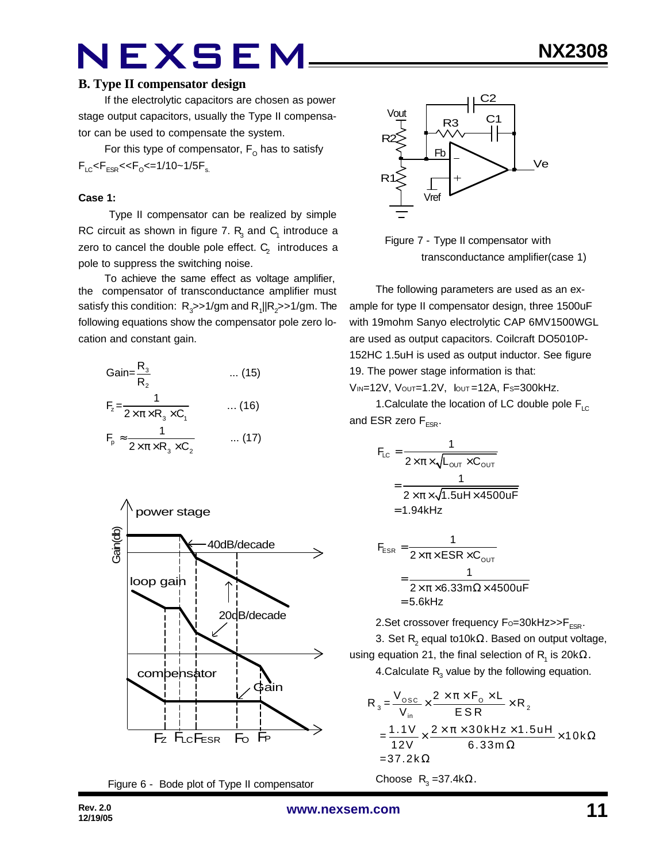If the electrolytic capacitors are chosen as power stage output capacitors, usually the Type II compensator can be used to compensate the system.

For this type of compensator,  $\mathsf{F}_\mathsf{O}$  has to satisfy  $F_{LC}$ < $F_{ESR}$ << $F_{O}$ <=1/10~1/5 $F_{s.}$ 

#### **Case 1:**

 Type II compensator can be realized by simple RC circuit as shown in figure 7.  $R_3$  and  $C_1$  introduce a zero to cancel the double pole effect.  $\textsf{C}_\textsf{2}^{\textsf{}}\,$  introduces a pole to suppress the switching noise.

To achieve the same effect as voltage amplifier, the compensator of transconductance amplifier must satisfy this condition:  $R_{_3}$ >>1/gm and  $R_{_1}$ ||R $_2$ >>1/gm. The following equations show the compensator pole zero location and constant gain.

Gain=
$$
\frac{R_3}{R_2}
$$
 ... (15)  
\n
$$
F_z = \frac{1}{2 \times \pi \times R_3 \times C_1}
$$
 ... (16)  
\n
$$
F_p \approx \frac{1}{2 \times \pi \times R_3 \times C_2}
$$
 ... (17)



Figure 6 - Bode plot of Type II compensator



 Figure 7 - Type II compensator with transconductance amplifier(case 1)

The following parameters are used as an example for type II compensator design, three 1500uF with 19mohm Sanyo electrolytic CAP 6MV1500WGL are used as output capacitors. Coilcraft DO5010P-152HC 1.5uH is used as output inductor. See figure 19. The power stage information is that:

VIN=12V, VOUT=1.2V, IOUT =12A, FS=300kHz.

1. Calculate the location of LC double pole  $F_{\text{LC}}$ and ESR zero  $F_{FSR}$ .

$$
F_{LC} = \frac{1}{2 \times \pi \times \sqrt{L_{OUT} \times C_{OUT}}}
$$

$$
= \frac{1}{2 \times \pi \times \sqrt{1.5uH \times 4500uF}}
$$

$$
= 1.94kHz
$$

$$
F_{ESR} = \frac{1}{2 \times \pi \times ESR \times C_{OUT}}
$$

$$
= \frac{1}{2 \times \pi \times 6.33 \text{ m}\Omega \times 4500 \text{ uF}}
$$

$$
= 5.6 \text{kHz}
$$

2. Set crossover frequency  $F_0 = 30k$ Hz $>>$ F<sub>ESR</sub>.

3. Set  $\mathsf{R}_{\mathsf{2}}$  equal to10k $\Omega.$  Based on output voltage, using equation 21, the final selection of  $\mathsf{R}_{\mathsf{1}}$  is 20k $\Omega.$ 4.Calculate  $R_3$  value by the following equation.

$$
R_{3} = \frac{V_{\text{osc}}}{V_{\text{in}}} \times \frac{2 \times \pi \times F_{\text{o}} \times L}{ESR} \times R_{2}
$$
  
= 
$$
\frac{1.1 V}{12 V} \times \frac{2 \times \pi \times 30 kHz \times 1.5 uH}{6.33 m \Omega} \times 10 k \Omega
$$
  
= 37.2 k $\Omega$ 

Choose  $R_3 = 37.4k\Omega$ .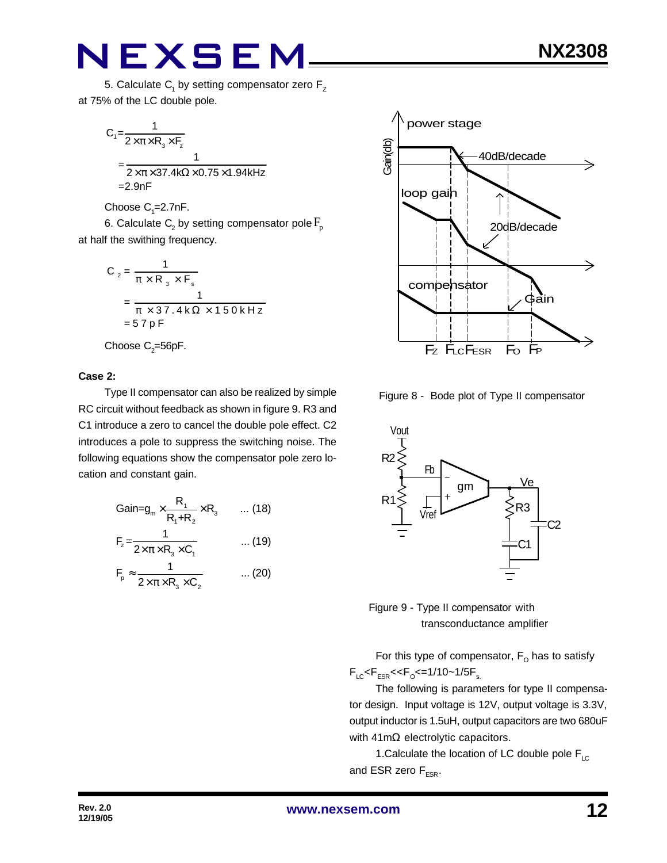$$
C_1 = \frac{1}{2 \times \pi \times R_3 \times F_2}
$$
  
= 
$$
\frac{1}{2 \times \pi \times 37.4 \times \Omega \times 0.75 \times 1.94 \times Hz}
$$
  
=2.9nF

Choose  $C_1 = 2.7$ nF.

6. Calculate  $\mathsf{C}_\text{2}$  by setting compensator pole  $\mathrm{F}_{\text{p}}$ at half the swithing frequency.

$$
C_2 = \frac{1}{\pi \times R_3 \times F_s}
$$
  
= 
$$
\frac{1}{\pi \times 37.4 \text{ k}\Omega \times 150 \text{ kHz}}
$$
  
= 57 pF

Choose  $\mathrm{C}_2$ =56pF.

#### **Case 2:**

Type II compensator can also be realized by simple RC circuit without feedback as shown in figure 9. R3 and C1 introduce a zero to cancel the double pole effect. C2 introduces a pole to suppress the switching noise. The following equations show the compensator pole zero location and constant gain.

$$
Gain = g_m \times \frac{R_1}{R_1 + R_2} \times R_3 \qquad \dots (18)
$$
  
\n
$$
F_z = \frac{1}{2 \times \pi \times R_3 \times C_1} \qquad \dots (19)
$$
  
\n
$$
F_p \approx \frac{1}{2 \times \pi \times R_3 \times C_2} \qquad \dots (20)
$$



Figure 8 - Bode plot of Type II compensator





For this type of compensator,  $\mathsf{F}_\mathsf{O}$  has to satisfy  $F_{LC}$ < $F_{ESR}$ << $F_{O}$ <=1/10~1/5 $F_{s.}$ 

The following is parameters for type II compensator design. Input voltage is 12V, output voltage is 3.3V, output inductor is 1.5uH, output capacitors are two 680uF with 41mΩ electrolytic capacitors.

1. Calculate the location of LC double pole  $F_{LC}$ and ESR zero  $F_{FSR}$ .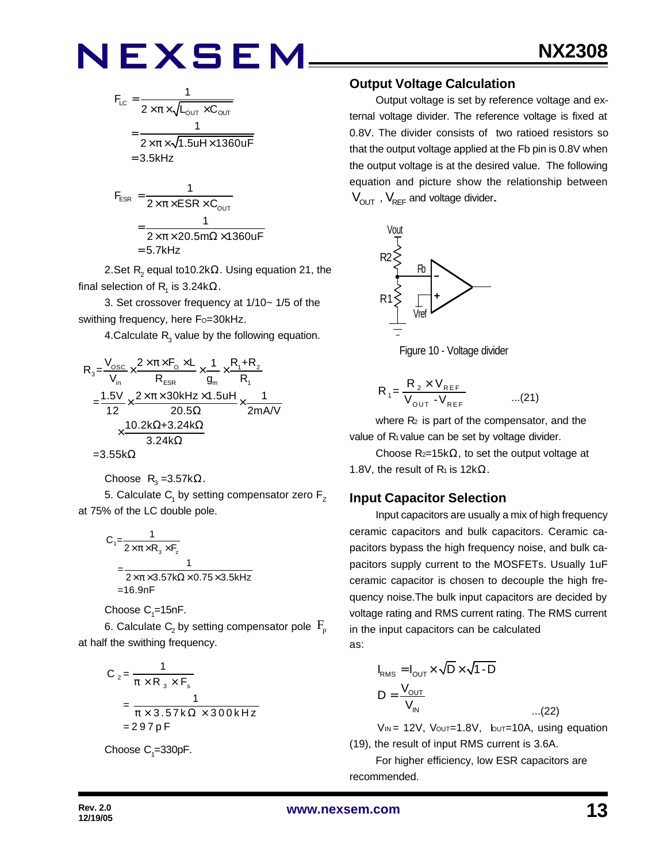$$
F_{LC} = \frac{1}{2 \times \pi \times \sqrt{L_{OUT} \times C_{OUT}}}
$$

$$
= \frac{1}{2 \times \pi \times \sqrt{1.5uH \times 1360uF}}
$$

$$
= 3.5kHz
$$

$$
F_{ESR} = \frac{1}{2 \times \pi \times ESR \times C_{OUT}}
$$

$$
= \frac{1}{2 \times \pi \times 20.5 m\Omega \times 1360 uF}
$$

$$
= 5.7 kHz
$$

2.Set  $\mathsf{R}_{\mathsf{2}}$  equal to10.2k $\Omega.$  Using equation 21, the final selection of  $\mathsf{R}_{\mathsf{1}}$  is 3.24k $\Omega.$ 

3. Set crossover frequency at 1/10~ 1/5 of the swithing frequency, here Fo=30kHz.

4.Calculate  $R_3$  value by the following equation.

$$
R_{3} = \frac{V_{\text{osc}}}{V_{\text{in}}} \times \frac{2 \times \pi \times F_{\text{o}} \times L}{R_{\text{ESR}}} \times \frac{1}{g_{\text{in}}} \times \frac{R_{1} + R_{2}}{R_{1}}
$$
  
= 
$$
\frac{1.5V}{12} \times \frac{2 \times \pi \times 30 \text{kHz} \times 1.5 \text{uH}}{20.5 \Omega} \times \frac{1}{2 \text{mA/V}}
$$
  

$$
\times \frac{10.2 \text{k}\Omega + 3.24 \text{k}\Omega}{3.24 \text{k}\Omega}
$$
  
= 3.55 k\Omega

$$
\texttt{=3.55k}\Omega
$$

Choose 
$$
R_3 = 3.57kΩ
$$
.

5. Calculate  $\mathsf{C}_\mathsf{1}$  by setting compensator zero  $\mathsf{F}_\mathsf{Z}$ at 75% of the LC double pole.

$$
C_1 = \frac{1}{2 \times \pi \times R_3 \times F_z}
$$
  
= 
$$
\frac{1}{2 \times \pi \times 3.57 \times \Omega \times 0.75 \times 3.5 \times Hz}
$$
  
= 16.9nF

Choose  $\mathrm{C}_\text{\tiny{1}}$ =15nF.

6. Calculate  $\mathsf{C}_\mathsf{2}$  by setting compensator pole  $\,\mathsf{F}_\mathsf{p}\,$ at half the swithing frequency.

$$
C_2 = \frac{1}{\pi \times R_3 \times F_s}
$$
  
= 
$$
\frac{1}{\pi \times 3.57 \times \Omega \times 300 \times Hz}
$$
  
= 297 pF

Choose 
$$
C_1 = 330pF
$$
.

#### **Output Voltage Calculation**

Output voltage is set by reference voltage and external voltage divider. The reference voltage is fixed at 0.8V. The divider consists of two ratioed resistors so that the output voltage applied at the Fb pin is 0.8V when the output voltage is at the desired value. The following equation and picture show the relationship between  $V_{\text{OUT}}$ ,  $V_{\text{REF}}$  and voltage divider.





$$
R_{1} = \frac{R_{2} \times V_{REF}}{V_{OUT} - V_{REF}} \qquad ...(21)
$$

where  $R_2$  is part of the compensator, and the value of R<sub>1</sub> value can be set by voltage divider.

Choose  $R_{2}=15k\Omega$ , to set the output voltage at 1.8V, the result of  $R_1$  is 12k $\Omega$ .

### **Input Capacitor Selection**

Input capacitors are usually a mix of high frequency ceramic capacitors and bulk capacitors. Ceramic capacitors bypass the high frequency noise, and bulk capacitors supply current to the MOSFETs. Usually 1uF ceramic capacitor is chosen to decouple the high frequency noise.The bulk input capacitors are decided by voltage rating and RMS current rating. The RMS current in the input capacitors can be calculated as:

$$
I_{RMS} = I_{OUT} \times \sqrt{D} \times \sqrt{1 - D}
$$
  

$$
D = \frac{V_{OUT}}{V_{IN}}
$$
...(22)

$$
V_{IN} = 12V
$$
,  $V_{OUT} = 1.8V$ ,  $b_{UT} = 10A$ , using equation (19), the result of input RMS current is 3.6A.

For higher efficiency, low ESR capacitors are recommended.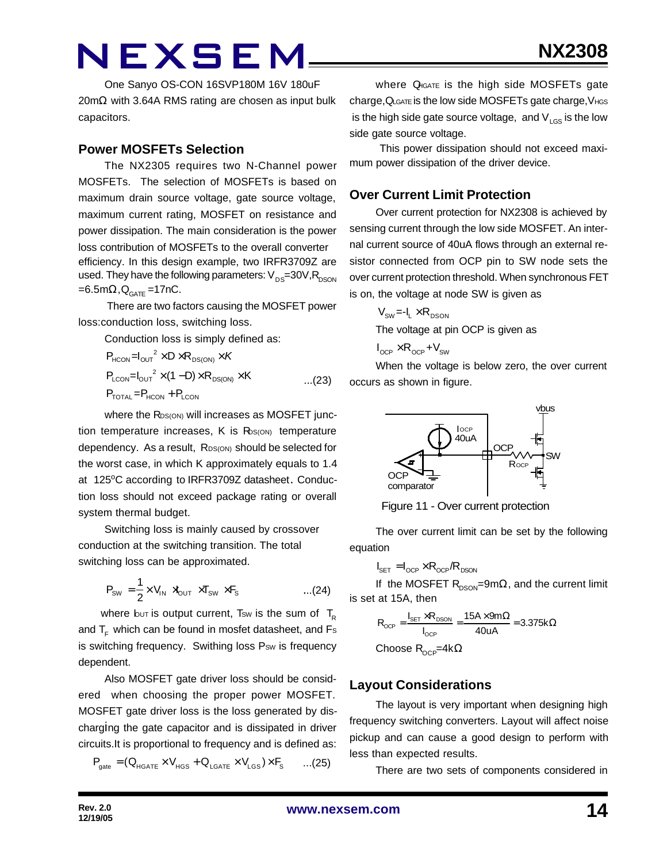One Sanyo OS-CON 16SVP180M 16V 180uF 20mΩ with 3.64A RMS rating are chosen as input bulk capacitors.

#### **Power MOSFETs Selection**

The NX2305 requires two N-Channel power MOSFETs. The selection of MOSFETs is based on maximum drain source voltage, gate source voltage, maximum current rating, MOSFET on resistance and power dissipation. The main consideration is the power loss contribution of MOSFETs to the overall converter efficiency. In this design example, two IRFR3709Z are used. They have the following parameters:  $V_{DS}=30V, R_{DSON}$  $=6.5$ m $\Omega$ , $Q_{GATE}$ =17nC.

 There are two factors causing the MOSFET power loss:conduction loss, switching loss.

Conduction loss is simply defined as:

$$
P_{HCON} = I_{OUT}^2 \times D \times R_{DS(ON)} \times K
$$
  
\n
$$
P_{LCDN} = I_{OUT}^2 \times (1 - D) \times R_{DS(ON)} \times K
$$
...(23)  
\n
$$
P_{TOTAL} = P_{HCON} + P_{LCDN}
$$

where the RDS(ON) will increases as MOSFET junction temperature increases,  $K$  is  $R_{\text{DS}(\text{ON})}$  temperature dependency. As a result, RDS(ON) should be selected for the worst case, in which K approximately equals to 1.4 at 125°C according to IRFR3709Z datasheet. Conduction loss should not exceed package rating or overall system thermal budget.

Switching loss is mainly caused by crossover conduction at the switching transition. The total switching loss can be approximated.

$$
P_{\text{SW}} = \frac{1}{2} \times V_{\text{IN}} \times V_{\text{OUT}} \times T_{\text{SW}} \times F_{\text{S}} \quad ...(24)
$$

where but is output current, Tsw is the sum of  $T_R$ and  $T_F$  which can be found in mosfet datasheet, and Fs is switching frequency. Swithing loss Psw is frequency dependent.

Also MOSFET gate driver loss should be considered when choosing the proper power MOSFET. MOSFET gate driver loss is the loss generated by discharging the gate capacitor and is dissipated in driver circuits.It is proportional to frequency and is defined as:

$$
\mathsf{P}_{\mathsf{gate}} = (\mathsf{Q}_{\mathsf{HGATE}} \times \mathsf{V}_{\mathsf{HGS}} + \mathsf{Q}_{\mathsf{LGATE}} \times \mathsf{V}_{\mathsf{LGS}}) \times \mathsf{F}_{\mathsf{S}} \qquad \ldots (25)
$$

where QHGATE is the high side MOSFETs gate charge,QLGATE is the low side MOSFETs gate charge,VHGS is the high side gate source voltage, and  $V_{LGS}$  is the low side gate source voltage.

 This power dissipation should not exceed maximum power dissipation of the driver device.

#### **Over Current Limit Protection**

Over current protection for NX2308 is achieved by sensing current through the low side MOSFET. An internal current source of 40uA flows through an external resistor connected from OCP pin to SW node sets the over current protection threshold. When synchronous FET is on, the voltage at node SW is given as

> $V_{\rm sw} = -I_{1} \times R_{\rm nson}$ The voltage at pin OCP is given as

$$
I_{\text{OCP}} \times R_{\text{OCP}} + V_{\text{SW}}
$$

When the voltage is below zero, the over current occurs as shown in figure.



Figure 11 - Over current protection

The over current limit can be set by the following equation

$$
I_{\text{SET}} = I_{\text{OCP}} \times R_{\text{OCP}} / R_{\text{DSON}}
$$

If the MOSFET  $R_{DSON}$ =9m $\Omega$ , and the current limit is set at 15A, then

$$
R_{OCP} = \frac{I_{SET} \times R_{DSON}}{I_{OCP}} = \frac{15A \times 9m\Omega}{40uA} = 3.375k\Omega
$$

Choose  $\mathsf{R}_{\mathsf{OCP}}$ =4k $\Omega$ 

### **Layout Considerations**

The layout is very important when designing high frequency switching converters. Layout will affect noise pickup and can cause a good design to perform with less than expected results.

There are two sets of components considered in